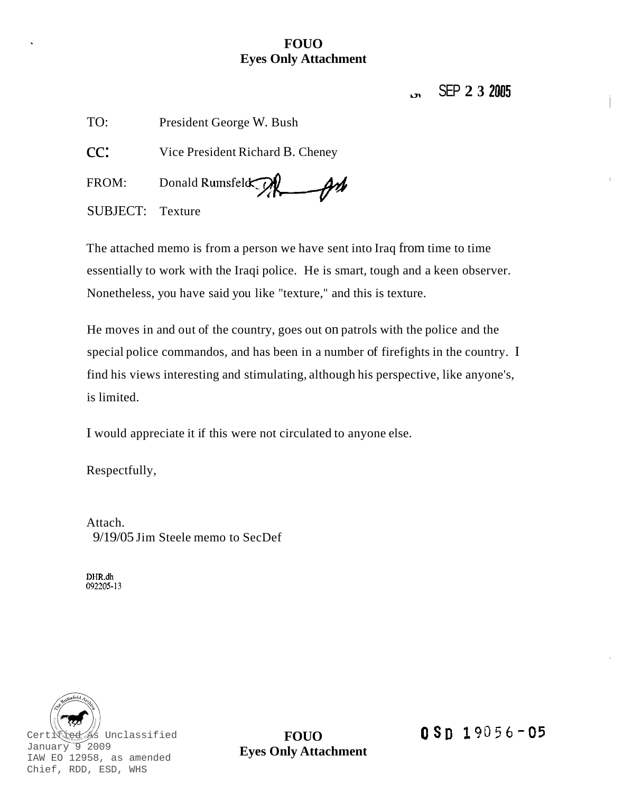### **FOUO Eyes Only Attachment**

# *u,* SEP **2 3 <sup>2005</sup>**

TO: President George W. Bush

CC: Vice President Richard B. Cheney

FROM: Donald Rumsfeld $\odot$  $-\theta$ 

SUBJECT: Texture

The attached memo is from a person we have sent into Iraq from time to time essentially to work with the Iraqi police. He is smart, tough and a keen observer. Nonetheless, you have said you like "texture," and this is texture.

He moves in and out of the country, goes out on patrols with the police and the special police commandos, and has been in a number of firefights in the country. I find his views interesting and stimulating, although his perspective, like anyone's, is limited.

I would appreciate it if this were not circulated to anyone else.

Respectfully,

Attach. 9/19/05 Jim Steele memo to SecDef

**DHR.dh**  092205-13



**FOUO Eyes Only Attachment**   $0 Sn 19056 - 05$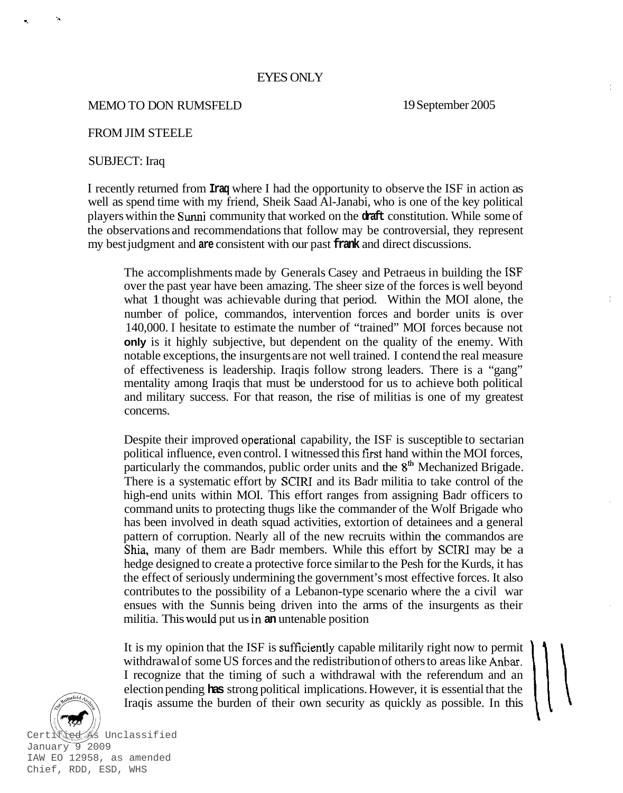#### EYES ONLY

#### MEMO TO DON RUMSFELD

19 September 2005

#### FROM JIM STEELE

#### SUBJECT: Iraq

I recently returned from **Iraq** where I had the opportunity to observe the ISF in action as well as spend time with my friend, Sheik Saad Al-Janabi, who is one of the key political players within the Sunni community that worked on the **draft** constitution. While some of the observations and recommendations that follow may be controversial, they represent my best judgment and **are** consistent with our past **frank** and direct discussions.

The accomplishments made by Generals Casey and Petraeus in building the ISF over the past year have been amazing. The sheer size of the forces is well beyond what 1 thought was achievable during that period. Within the MOI alone, the number of police, commandos, intervention forces and border units is over 140,000. I hesitate to estimate the number of "trained" MOI forces because not **only** is it highly subjective, but dependent on the quality of the enemy. With notable exceptions, the insurgents are not well trained. I contend the real measure of effectiveness is leadership. Iraqis follow strong leaders. There is a "gang" mentality among Iraqis that must be understood for us to achieve both political and military success. For that reason, the rise of militias is one of my greatest concerns.

Despite their improved operational capability, the ISF is susceptible to sectarian political influence, even control. I witnessed this first hand within the MOI forces, particularly the commandos, public order units and the 8<sup>th</sup> Mechanized Brigade. There is a systematic effort by SCIRI and its Badr militia to take control of the high-end units within MOI. This effort ranges from assigning Badr officers to command units to protecting thugs like the commander of the Wolf Brigade who has been involved in death squad activities, extortion of detainees and a general pattern of corruption. Nearly all of the new recruits within the commandos are **Shia,** many of them are Badr members. While this effort by SCIRl may be a hedge designed to create a protective force similar to the Pesh for the Kurds, it has the effect of seriously undermining the government's most effective forces. It also contributes to the possibility of a Lebanon-type scenario where the a civil war ensues with the Sunnis being driven into the arms of the insurgents as their militia. This would put us in **an** untenable position

It is my opinion that the ISF is sufficiently capable militarily right now to permit withdrawal of some US forces and the redistribution of others to areas like Anbar. I recognize that the timing of such a withdrawal with the referendum and an election pending **has** strong political implications. However, it is essential that the Iraqis assume the burden of their own security as quickly as possible. In this



January 9 2009 IAW EO 12958, as amended Chief, RDD, ESD, WHS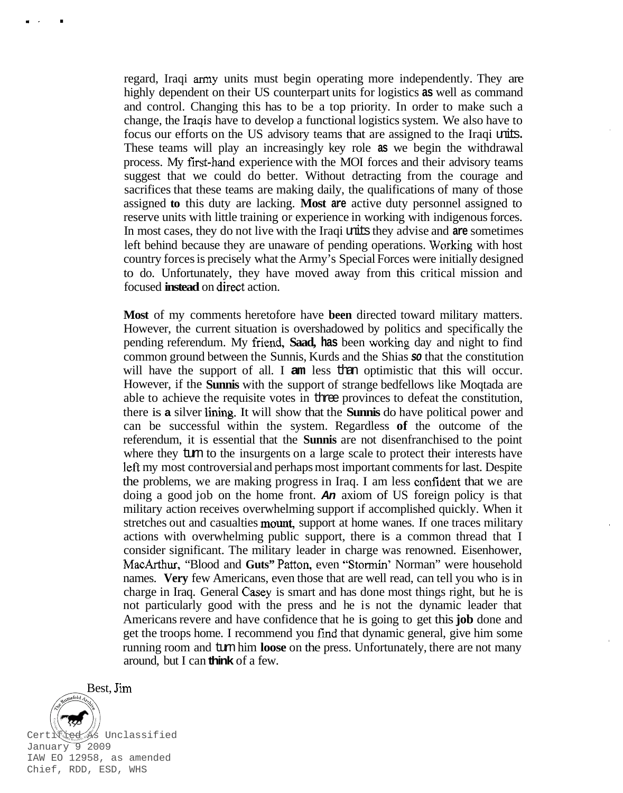regard, Iraqi army units must begin operating more independently. They are highly dependent on their US counterpart units for logistics **as** well as command and control. Changing this has to be a top priority. In order to make such a change, the Iraqis have to develop a functional logistics system. We also have to focus our efforts on the US advisory teams that are assigned to the Iraqi units. These teams will play an increasingly key role **as** we begin the withdrawal process. My frst-hand experience with the MOI forces and their advisory teams suggest that we could do better. Without detracting from the courage and sacrifices that these teams are making daily, the qualifications of many of those assigned **to** this duty are lacking. **Most are** active duty personnel assigned to reserve units with little training or experience in working with indigenous forces. In most cases, they do not live with the Iraqi units they advise and **are** sometimes left behind because they are unaware of pending operations. Working with host country forces is precisely what the Army's Special Forces were initially designed to do. Unfortunately, they have moved away from this critical mission and focused **instead** on direct action.

**Most** of my comments heretofore have **been** directed toward military matters. However, the current situation is overshadowed by politics and specifically the pending referendum. My friend, **Saad, has** been working day and night to find common ground between the Sunnis, Kurds and the Shias *so* that the constitution will have the support of all. I **am** less than optimistic that this will occur. However, if the **Sunnis** with the support of strange bedfellows like Moqtada are able to achieve the requisite votes in three provinces to defeat the constitution, there is **a** silver lining. It will show that the **Sunnis** do have political power and can be successful within the system. Regardless **of** the outcome of the referendum, it is essential that the **Sunnis** are not disenfranchised to the point where they turn to the insurgents on a large scale to protect their interests have left my most controversial and perhaps most important comments for last. Despite the problems, we are making progress in Iraq. I am less confident that we are doing a good job on the home front. *An* axiom of US foreign policy is that military action receives overwhelming support if accomplished quickly. When it stretches out and casualties mount, support at home wanes. If one traces military actions with overwhelming public support, there is a common thread that I consider significant. The military leader in charge was renowned. Eisenhower, MacArthur, "Blood and **Guts"** Patton, even "Stormin' Norman" were household names. **Very** few Americans, even those that are well read, can tell you who is in charge in Iraq. General Casey is smart and has done most things right, but he is not particularly good with the press and he is not the dynamic leader that Americans revere and have confidence that he is going to get this **job** done and get the troops home. I recommend you fmd that dynamic general, give him some running room and turn him **loose** on the press. Unfortunately, there are not many around, but I can **think** of a few.



.. .